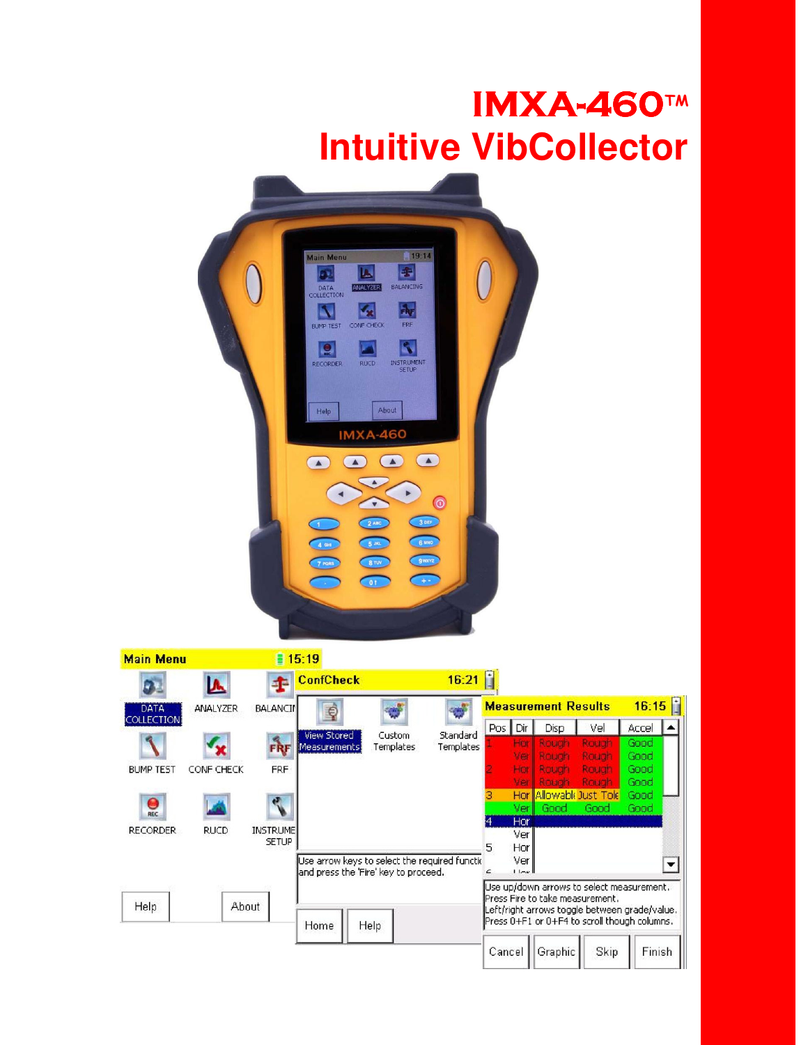# **IMXA-460TM Intuitive VibCollector**



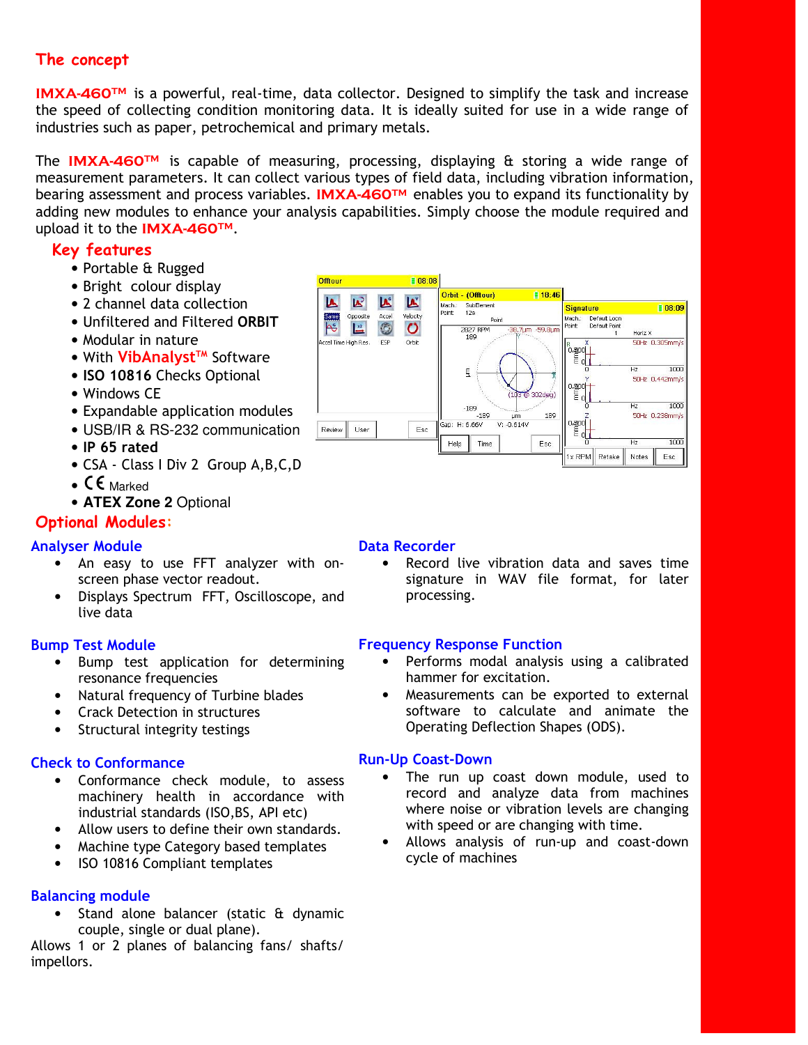## The concept

IMXA-460<sup>™</sup> is a powerful, real-time, data collector. Designed to simplify the task and increase the speed of collecting condition monitoring data. It is ideally suited for use in a wide range of industries such as paper, petrochemical and primary metals.

The **IMXA-460<sup>TM</sup>** is capable of measuring, processing, displaying  $\theta$  storing a wide range of measurement parameters. It can collect various types of field data, including vibration information, bearing assessment and process variables. IMXA-460™ enables you to expand its functionality by adding new modules to enhance your analysis capabilities. Simply choose the module required and upload it to the IMXA-460TM.

## Key features

- Portable & Rugged
- Bright colour display
- 2 channel data collection
- Unfiltered and Filtered ORBIT
- Modular in nature
- With VibAnalyst<sup>TM</sup> Software
- ISO 10816 Checks Optional
- Windows CE
- Expandable application modules
- USB/IR & RS-232 communication
- IP 65 rated
- CSA Class I Div 2 Group A,B,C,D
- $CE$  Marked
- **ATEX Zone 2** Optional

## Optional Modules:

#### Analyser Module

- An easy to use FFT analyzer with onscreen phase vector readout.
- Displays Spectrum FFT, Oscilloscope, and live data

### Bump Test Module

- Bump test application for determining resonance frequencies
- Natural frequency of Turbine blades
- Crack Detection in structures
- Structural integrity testings

### Check to Conformance

- Conformance check module, to assess machinery health in accordance with industrial standards (ISO,BS, API etc)
- Allow users to define their own standards.
- Machine type Category based templates
- ISO 10816 Compliant templates

### Balancing module

• Stand alone balancer (static & dynamic couple, single or dual plane).

Allows 1 or 2 planes of balancing fans/ shafts/ impellors.



#### Data Recorder

• Record live vibration data and saves time signature in WAV file format, for later processing.

#### Frequency Response Function

- Performs modal analysis using a calibrated hammer for excitation.
- Measurements can be exported to external software to calculate and animate the Operating Deflection Shapes (ODS).

### Run-Up Coast-Down

- The run up coast down module, used to record and analyze data from machines where noise or vibration levels are changing with speed or are changing with time.
- Allows analysis of run-up and coast-down cycle of machines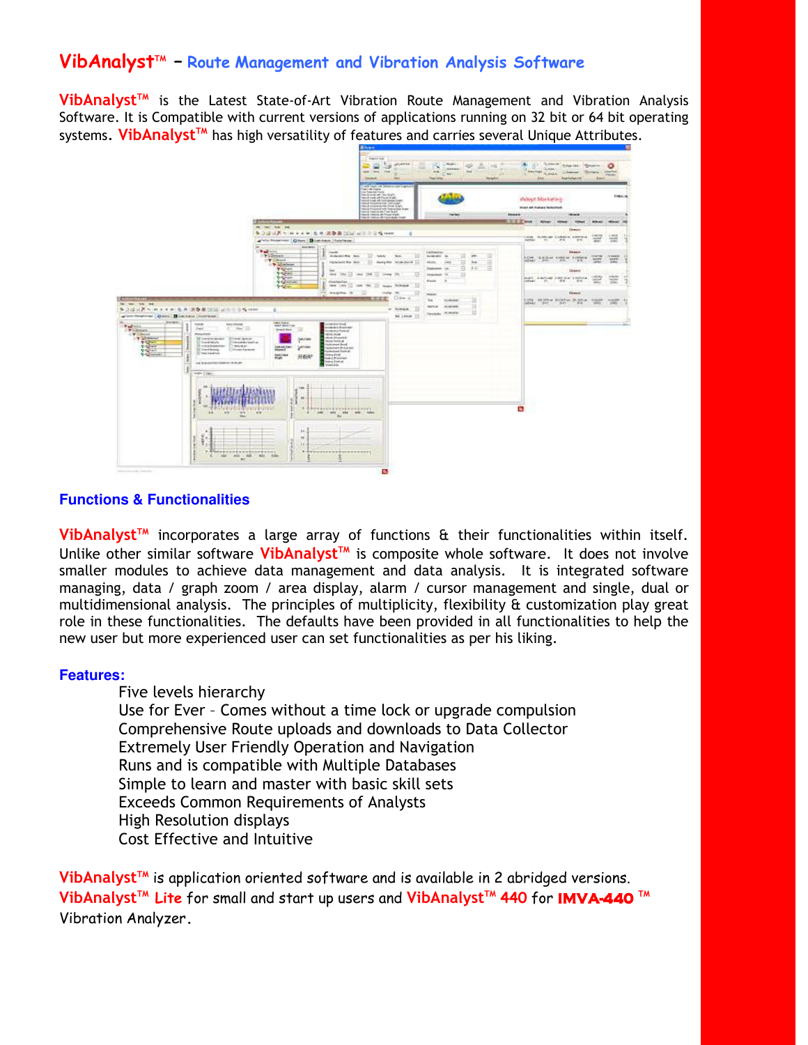## VibAnalyst<sup>™</sup> - Route Management and Vibration Analysis Software

VibAnalyst<sup>™</sup> is the Latest State-of-Art Vibration Route Management and Vibration Analysis Software. It is Compatible with current versions of applications running on 32 bit or 64 bit operating systems. VibAnalyst<sup>™</sup> has high versatility of features and carries several Unique Attributes.



#### **Functions & Functionalities**

VibAnalyst<sup>™</sup> incorporates a large array of functions & their functionalities within itself. Unlike other similar software **VibAnalyst<sup>TM</sup>** is composite whole software. It does not involve smaller modules to achieve data management and data analysis. It is integrated software managing, data / graph zoom / area display, alarm / cursor management and single, dual or multidimensional analysis. The principles of multiplicity, flexibility & customization play great role in these functionalities. The defaults have been provided in all functionalities to help the new user but more experienced user can set functionalities as per his liking.

#### **Features:**

Five levels hierarchy Use for Ever – Comes without a time lock or upgrade compulsion Comprehensive Route uploads and downloads to Data Collector Extremely User Friendly Operation and Navigation Runs and is compatible with Multiple Databases Simple to learn and master with basic skill sets Exceeds Common Requirements of Analysts High Resolution displays Cost Effective and Intuitive

VibAnalyst<sup>TM</sup> is application oriented software and is available in 2 abridged versions. VibAnalyst™ Lite for small and start up users and VibAnalyst™ 440 for IMVA-440 ™ Vibration Analyzer.